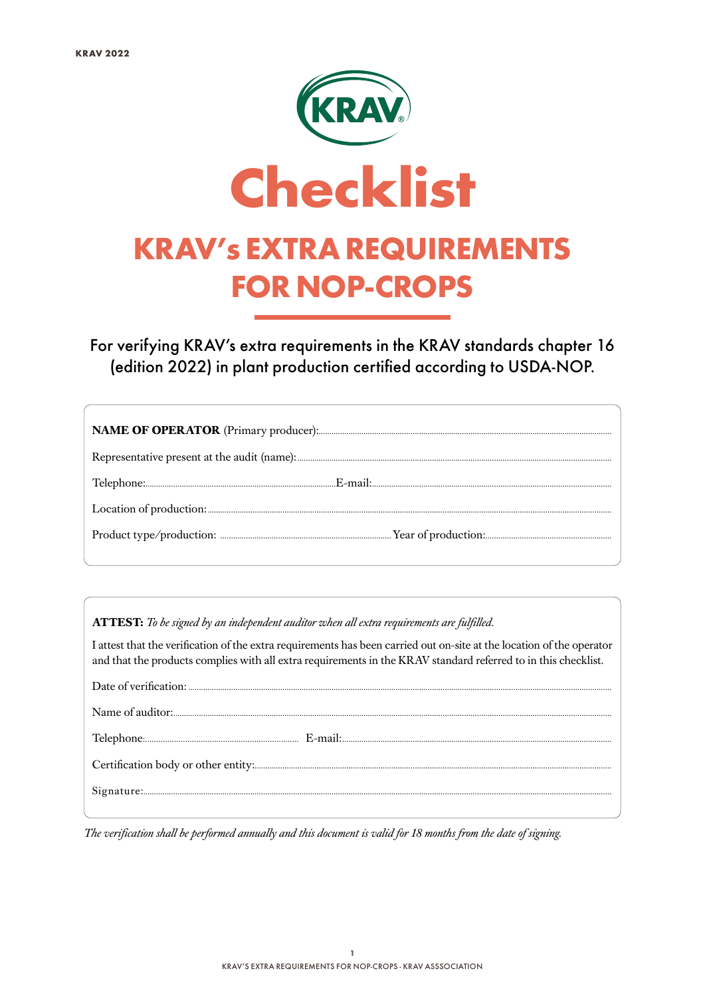

For verifying KRAV's extra requirements in the KRAV standards chapter 16 (edition 2022) in plant production certified according to USDA-NOP.

**ATTEST:** *To be signed by an independent auditor when all extra requirements are fulfilled.*

I attest that the verification of the extra requirements has been carried out on-site at the location of the operator and that the products complies with all extra requirements in the KRAV standard referred to in this checklist.

*The verification shall be performed annually and this document is valid for 18 months from the date of signing.*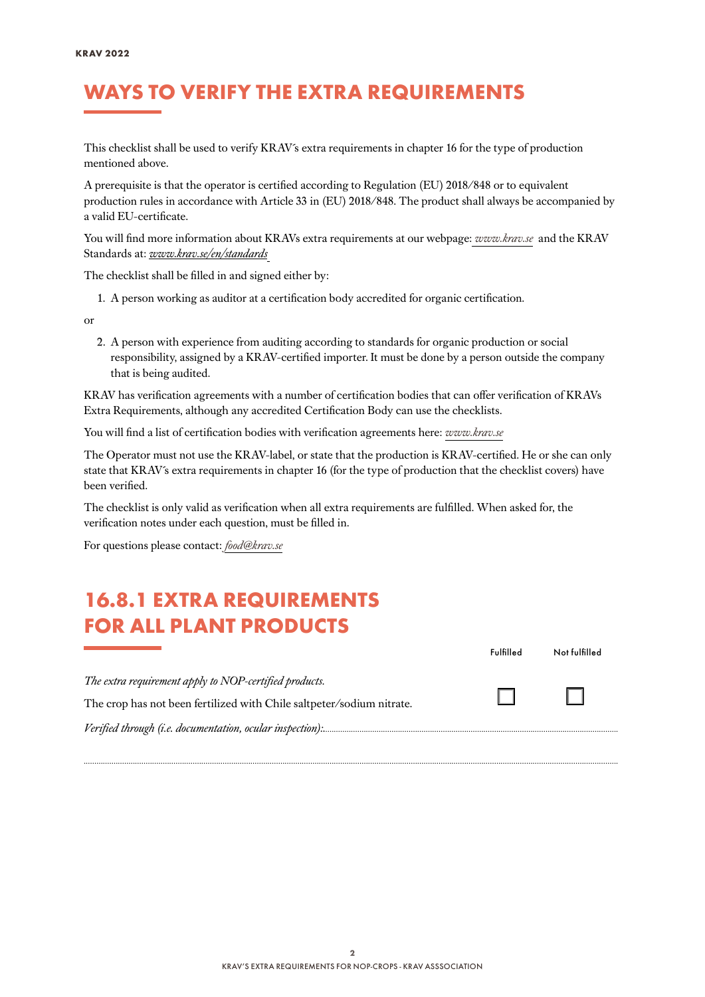## WAYS TO VERIFY THE EXTRA REQUIREMENTS

This checklist shall be used to verify KRAV´s extra requirements in chapter 16 for the type of production mentioned above.

A prerequisite is that the operator is certified according to Regulation (EU) 2018/848 or to equivalent production rules in accordance with Article 33 in (EU) 2018/848. The product shall always be accompanied by a valid EU-certificate.

You will find more information about KRAVs extra requirements at our webpage: *[www.krav.se](www.krav.se/en/for-companies/extra-requirements-for-all-products/)* and the KRAV Standards at: *[www.krav.se/en/standards](https://www.krav.se/en/standards)*

The checklist shall be filled in and signed either by:

1. A person working as auditor at a certification body accredited for organic certification.

or

2. A person with experience from auditing according to standards for organic production or social responsibility, assigned by a KRAV-certified importer. It must be done by a person outside the company that is being audited.

KRAV has verification agreements with a number of certification bodies that can offer verification of KRAVs Extra Requirements, although any accredited Certification Body can use the checklists.

You will find a list of certification bodies with verification agreements here: *[www.krav.se](https://www.krav.se/en/asset/certification-bodies-with-verification-agreement/)*

The Operator must not use the KRAV-label, or state that the production is KRAV-certified. He or she can only state that KRAV´s extra requirements in chapter 16 (for the type of production that the checklist covers) have been verified.

The checklist is only valid as verification when all extra requirements are fulfilled. When asked for, the verification notes under each question, must be filled in.

For questions please contact: *[food@krav.se](mailto:food%40krav.se?subject=From%20extra%20requirements)*

### 16.8.1 EXTRA REQUIREMENTS FOR ALL PLANT PRODUCTS

|                                                                       | Fulfilled | Not fulfilled |
|-----------------------------------------------------------------------|-----------|---------------|
| The extra requirement apply to NOP-certified products.                |           |               |
| The crop has not been fertilized with Chile saltpeter/sodium nitrate. |           |               |
|                                                                       |           |               |

*..........................................................................................................................................................................................................................................................*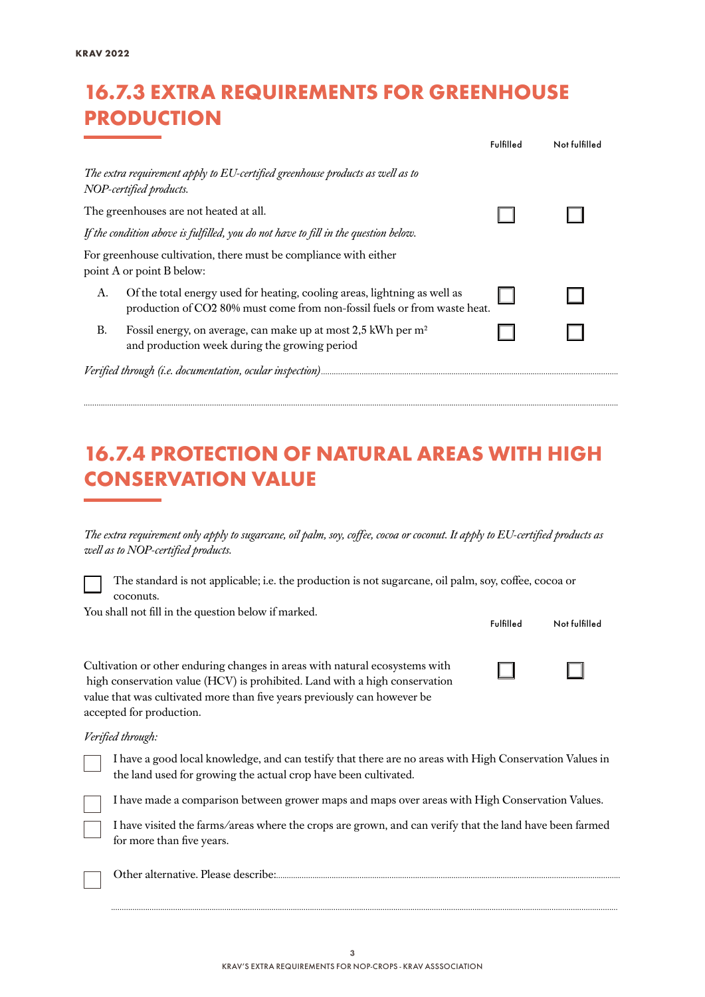## 16.7.3 EXTRA REQUIREMENTS FOR GREENHOUSE PRODUCTION

|                                                                                                                                                              | Fulfilled | Not fulfilled |
|--------------------------------------------------------------------------------------------------------------------------------------------------------------|-----------|---------------|
| The extra requirement apply to EU-certified greenhouse products as well as to<br>NOP-certified products.                                                     |           |               |
| The greenhouses are not heated at all.                                                                                                                       |           |               |
| If the condition above is fulfilled, you do not have to fill in the question below.                                                                          |           |               |
| For greenhouse cultivation, there must be compliance with either<br>point A or point B below:                                                                |           |               |
| Of the total energy used for heating, cooling areas, lightning as well as<br>А.<br>production of CO2 80% must come from non-fossil fuels or from waste heat. |           |               |
| Fossil energy, on average, can make up at most 2,5 kWh per m <sup>2</sup><br>В.<br>and production week during the growing period                             |           |               |
|                                                                                                                                                              |           |               |

### 16.7.4 PROTECTION OF NATURAL AREAS WITH HIGH CONSERVATION VALUE

*..........................................................................................................................................................................................................................................................*

*The extra requirement only apply to sugarcane, oil palm, soy, coffee, cocoa or coconut. It apply to EU-certified products as well as to NOP-certified products.*

The standard is not applicable; i.e. the production is not sugarcane, oil palm, soy, coffee, cocoa or coconuts.

You shall not fill in the question below if marked.

| Tou shah hot hill he the question below if mainteur                                                                                                                                                                                   | Fulfilled | Not fulfilled |
|---------------------------------------------------------------------------------------------------------------------------------------------------------------------------------------------------------------------------------------|-----------|---------------|
| Cultivation or other enduring changes in areas with natural ecosystems with<br>high conservation value (HCV) is prohibited. Land with a high conservation<br>value that was cultivated more than five years previously can however be |           |               |
| accepted for production.                                                                                                                                                                                                              |           |               |

#### *Verified through:*



I have made a comparison between grower maps and maps over areas with High Conservation Values.

I have visited the farms/areas where the crops are grown, and can verify that the land have been farmed for more than five years.

*.............................................................................................................................................................................................................................................*

Other alternative. Please describe:.................................................................................................................................................................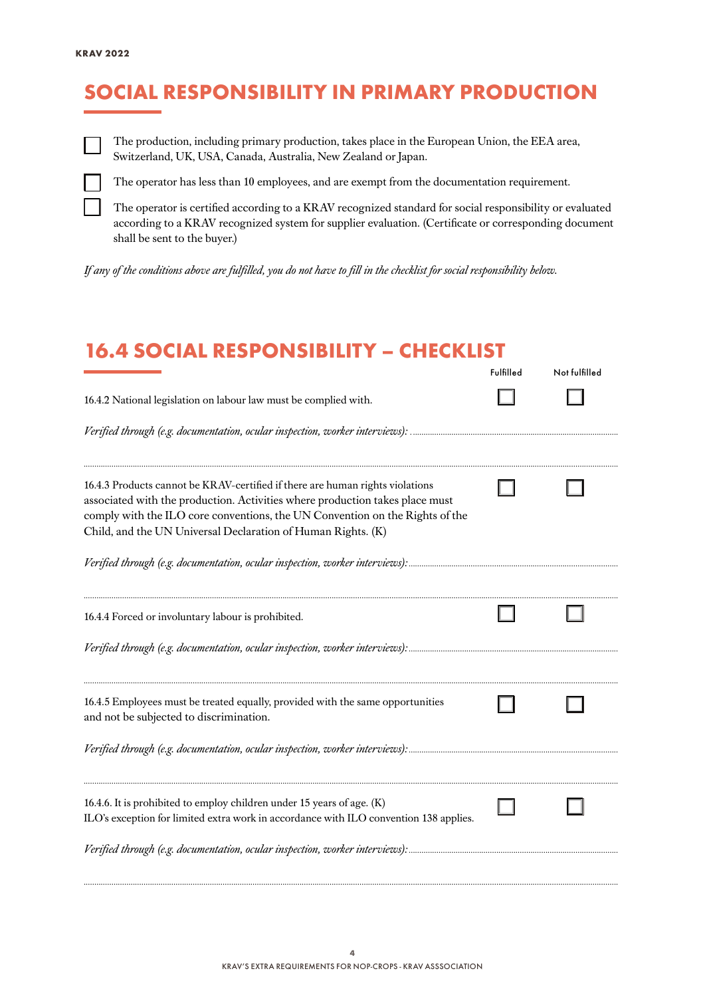# SOCIAL RESPONSIBILITY IN PRIMARY PRODUCTION



The production, including primary production, takes place in the European Union, the EEA area, Switzerland, UK, USA, Canada, Australia, New Zealand or Japan.



The operator has less than 10 employees, and are exempt from the documentation requirement.

The operator is certified according to a KRAV recognized standard for social responsibility or evaluated according to a KRAV recognized system for supplier evaluation. (Certificate or corresponding document shall be sent to the buyer.)

*If any of the conditions above are fulfilled, you do not have to fill in the checklist for social responsibility below.*

### 16.4 SOCIAL RESPONSIBILITY – CHECKLIST

|                                                                                                                                                                                                                                                                                                               | Fulfilled | Not fulfilled |
|---------------------------------------------------------------------------------------------------------------------------------------------------------------------------------------------------------------------------------------------------------------------------------------------------------------|-----------|---------------|
| 16.4.2 National legislation on labour law must be complied with.                                                                                                                                                                                                                                              |           |               |
|                                                                                                                                                                                                                                                                                                               |           |               |
| 16.4.3 Products cannot be KRAV-certified if there are human rights violations<br>associated with the production. Activities where production takes place must<br>comply with the ILO core conventions, the UN Convention on the Rights of the<br>Child, and the UN Universal Declaration of Human Rights. (K) |           |               |
|                                                                                                                                                                                                                                                                                                               |           |               |
| 16.4.4 Forced or involuntary labour is prohibited.                                                                                                                                                                                                                                                            |           |               |
|                                                                                                                                                                                                                                                                                                               |           |               |
| 16.4.5 Employees must be treated equally, provided with the same opportunities<br>and not be subjected to discrimination.                                                                                                                                                                                     |           |               |
|                                                                                                                                                                                                                                                                                                               |           |               |
| 16.4.6. It is prohibited to employ children under 15 years of age. (K)<br>ILO's exception for limited extra work in accordance with ILO convention 138 applies.                                                                                                                                               |           |               |
| Verified through (e.g. documentation, ocular inspection, worker interviews):                                                                                                                                                                                                                                  |           |               |

*..........................................................................................................................................................................................................................................................*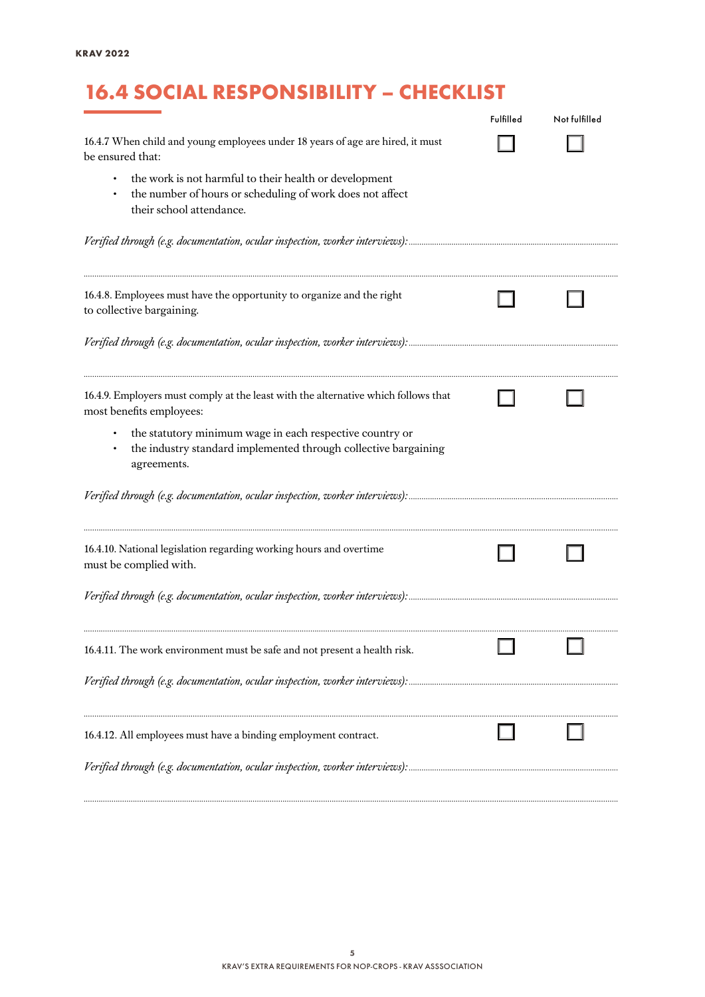# 16.4 SOCIAL RESPONSIBILITY – CHECKLIST

|                                                                                                                                                 | Fulfilled | Not fulfilled |
|-------------------------------------------------------------------------------------------------------------------------------------------------|-----------|---------------|
| 16.4.7 When child and young employees under 18 years of age are hired, it must<br>be ensured that:                                              |           |               |
| the work is not harmful to their health or development<br>the number of hours or scheduling of work does not affect<br>their school attendance. |           |               |
|                                                                                                                                                 |           |               |
| 16.4.8. Employees must have the opportunity to organize and the right<br>to collective bargaining.                                              |           |               |
|                                                                                                                                                 |           |               |
| 16.4.9. Employers must comply at the least with the alternative which follows that<br>most benefits employees:                                  |           |               |
| the statutory minimum wage in each respective country or<br>the industry standard implemented through collective bargaining<br>agreements.      |           |               |
|                                                                                                                                                 |           |               |
| 16.4.10. National legislation regarding working hours and overtime<br>must be complied with.                                                    |           |               |
|                                                                                                                                                 |           |               |
| 16.4.11. The work environment must be safe and not present a health risk.                                                                       |           |               |
|                                                                                                                                                 |           |               |
| 16.4.12. All employees must have a binding employment contract.                                                                                 |           |               |
|                                                                                                                                                 |           |               |

*..........................................................................................................................................................................................................................................................*